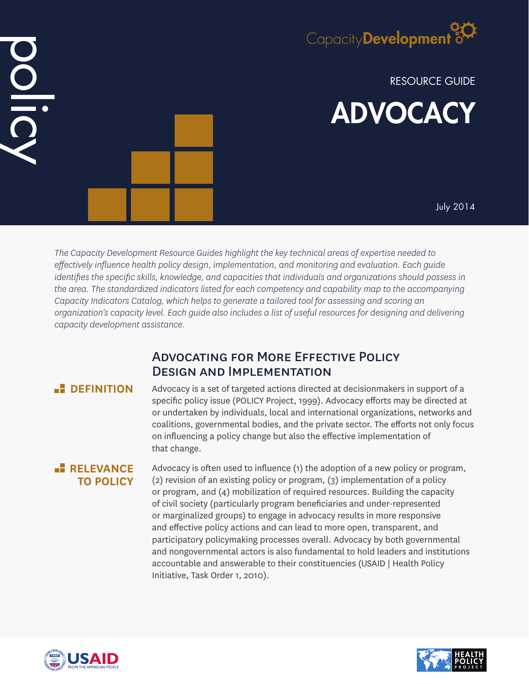

RESOURCE GUIDE ADVOCACY

July 2014

*The Capacity Development Resource Guides highlight the key technical areas of expertise needed to effectively influence health policy design, implementation, and monitoring and evaluation. Each guide identifies the specific skills, knowledge, and capacities that individuals and organizations should possess in the area. The standardized indicators listed for each competency and capability map to the accompanying Capacity Indicators Catalog, which helps to generate a tailored tool for assessing and scoring an organization's capacity level. Each guide also includes a list of useful resources for designing and delivering capacity development assistance.*

# Advocating for More Effective Policy Design and Implementation

# **E** DEFINITION

DIDI

Advocacy is a set of targeted actions directed at decisionmakers in support of a specific policy issue (POLICY Project, 1999). Advocacy efforts may be directed at or undertaken by individuals, local and international organizations, networks and coalitions, governmental bodies, and the private sector. The efforts not only focus on influencing a policy change but also the effective implementation of that change.

## **RELEVANCE TO POLICY**

Advocacy is often used to influence (1) the adoption of a new policy or program, (2) revision of an existing policy or program, (3) implementation of a policy or program, and (4) mobilization of required resources. Building the capacity of civil society (particularly program beneficiaries and under-represented or marginalized groups) to engage in advocacy results in more responsive and effective policy actions and can lead to more open, transparent, and participatory policymaking processes overall. Advocacy by both governmental and nongovernmental actors is also fundamental to hold leaders and institutions accountable and answerable to their constituencies (USAID | Health Policy Initiative, Task Order 1, 2010).



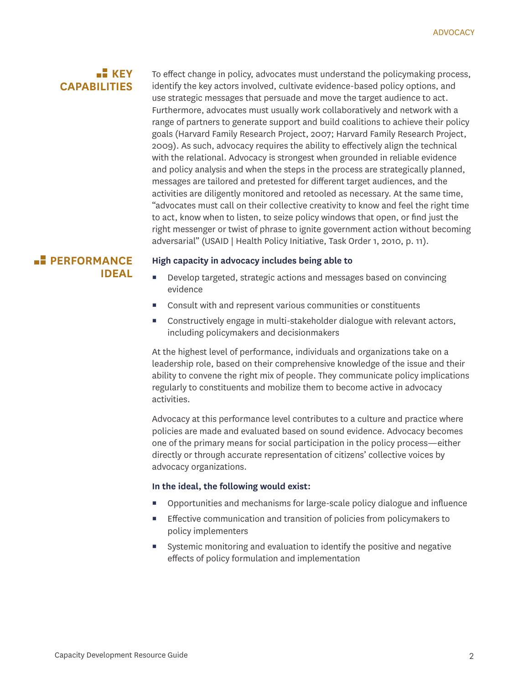## **KEY CAPABILITIES**

To effect change in policy, advocates must understand the policymaking process, identify the key actors involved, cultivate evidence-based policy options, and use strategic messages that persuade and move the target audience to act. Furthermore, advocates must usually work collaboratively and network with a range of partners to generate support and build coalitions to achieve their policy goals (Harvard Family Research Project, 2007; Harvard Family Research Project, 2009). As such, advocacy requires the ability to effectively align the technical with the relational. Advocacy is strongest when grounded in reliable evidence and policy analysis and when the steps in the process are strategically planned, messages are tailored and pretested for different target audiences, and the activities are diligently monitored and retooled as necessary. At the same time, "advocates must call on their collective creativity to know and feel the right time to act, know when to listen, to seize policy windows that open, or find just the right messenger or twist of phrase to ignite government action without becoming adversarial" (USAID | Health Policy Initiative, Task Order 1, 2010, p. 11).

## **PERFORMANCE IDEAL**

#### **High capacity in advocacy includes being able to**

- Develop targeted, strategic actions and messages based on convincing evidence
- Consult with and represent various communities or constituents
- Constructively engage in multi-stakeholder dialogue with relevant actors, including policymakers and decisionmakers

At the highest level of performance, individuals and organizations take on a leadership role, based on their comprehensive knowledge of the issue and their ability to convene the right mix of people. They communicate policy implications regularly to constituents and mobilize them to become active in advocacy activities.

Advocacy at this performance level contributes to a culture and practice where policies are made and evaluated based on sound evidence. Advocacy becomes one of the primary means for social participation in the policy process—either directly or through accurate representation of citizens' collective voices by advocacy organizations.

### **In the ideal, the following would exist:**

- Opportunities and mechanisms for large-scale policy dialogue and influence
- **Effective communication and transition of policies from policymakers to** policy implementers
- Systemic monitoring and evaluation to identify the positive and negative effects of policy formulation and implementation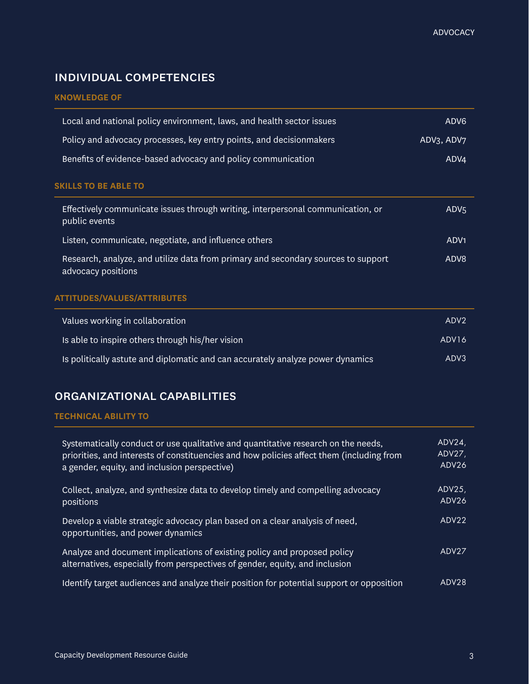# individual competencies

## **KNOWLEDGE OF**

| Local and national policy environment, laws, and health sector issues                                   | ADV <sub>6</sub>                    |
|---------------------------------------------------------------------------------------------------------|-------------------------------------|
| Policy and advocacy processes, key entry points, and decision makers                                    | ADV <sub>3</sub> , ADV <sub>7</sub> |
| Benefits of evidence-based advocacy and policy communication                                            | ADV4                                |
| <b>SKILLS TO BE ABLE TO</b>                                                                             |                                     |
| Effectively communicate issues through writing, interpersonal communication, or<br>public events        | ADV <sub>5</sub>                    |
| Listen, communicate, negotiate, and influence others                                                    | ADV <sub>1</sub>                    |
| Research, analyze, and utilize data from primary and secondary sources to support<br>advocacy positions | ADV8                                |

### **ATTITUDES/VALUES/ATTRIBUTES**

| Values working in collaboration                                                | ADV <sub>2</sub>  |
|--------------------------------------------------------------------------------|-------------------|
| Is able to inspire others through his/her vision                               | ADV <sub>16</sub> |
| Is politically astute and diplomatic and can accurately analyze power dynamics | ADV3              |

## organizational capabilities

#### **TECHNICAL ABILITY TO**

| Systematically conduct or use qualitative and quantitative research on the needs,<br>priorities, and interests of constituencies and how policies affect them (including from<br>a gender, equity, and inclusion perspective) | ADV24<br>$ADV27$ ,<br>ADV26 |
|-------------------------------------------------------------------------------------------------------------------------------------------------------------------------------------------------------------------------------|-----------------------------|
| Collect, analyze, and synthesize data to develop timely and compelling advocacy<br>positions                                                                                                                                  | ADV25<br>ADV26              |
| Develop a viable strategic advocacy plan based on a clear analysis of need,<br>opportunities, and power dynamics                                                                                                              | ADV22                       |
| Analyze and document implications of existing policy and proposed policy<br>alternatives, especially from perspectives of gender, equity, and inclusion                                                                       | ADV27                       |
| Identify target audiences and analyze their position for potential support or opposition                                                                                                                                      | ADV <sub>28</sub>           |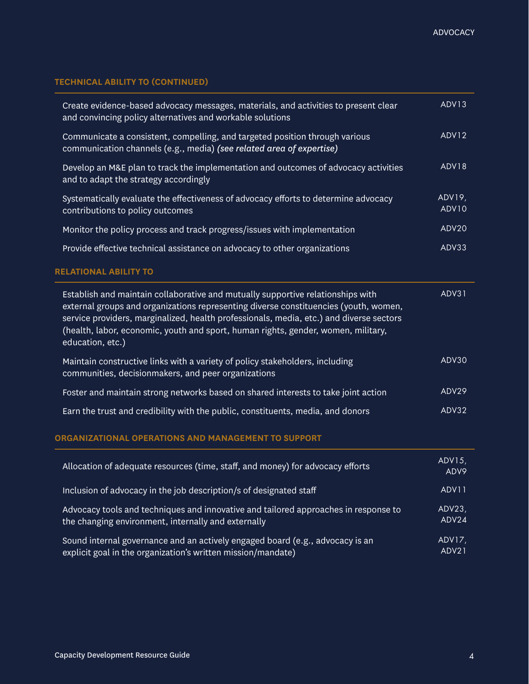## **TECHNICAL ABILITY TO (CONTINUED)**

| Create evidence-based advocacy messages, materials, and activities to present clear<br>and convincing policy alternatives and workable solutions                                                                                                                                                                                                                            | ADV <sub>13</sub> |
|-----------------------------------------------------------------------------------------------------------------------------------------------------------------------------------------------------------------------------------------------------------------------------------------------------------------------------------------------------------------------------|-------------------|
| Communicate a consistent, compelling, and targeted position through various<br>communication channels (e.g., media) (see related area of expertise)                                                                                                                                                                                                                         | ADV12             |
| Develop an M&E plan to track the implementation and outcomes of advocacy activities<br>and to adapt the strategy accordingly                                                                                                                                                                                                                                                | ADV18             |
| Systematically evaluate the effectiveness of advocacy efforts to determine advocacy<br>contributions to policy outcomes                                                                                                                                                                                                                                                     | ADV19,<br>ADV10   |
| Monitor the policy process and track progress/issues with implementation                                                                                                                                                                                                                                                                                                    | ADV20             |
| Provide effective technical assistance on advocacy to other organizations                                                                                                                                                                                                                                                                                                   | ADV33             |
|                                                                                                                                                                                                                                                                                                                                                                             |                   |
| <b>RELATIONAL ABILITY TO</b>                                                                                                                                                                                                                                                                                                                                                |                   |
| Establish and maintain collaborative and mutually supportive relationships with<br>external groups and organizations representing diverse constituencies (youth, women,<br>service providers, marginalized, health professionals, media, etc.) and diverse sectors<br>(health, labor, economic, youth and sport, human rights, gender, women, military,<br>education, etc.) | ADV31             |
| Maintain constructive links with a variety of policy stakeholders, including<br>communities, decisionmakers, and peer organizations                                                                                                                                                                                                                                         | ADV30             |
| Foster and maintain strong networks based on shared interests to take joint action                                                                                                                                                                                                                                                                                          | ADV29             |

### **ORGANIZATIONAL OPERATIONS AND MANAGEMENT TO SUPPORT**

| Allocation of adequate resources (time, staff, and money) for advocacy efforts      | ADV15,<br>ADV9 |
|-------------------------------------------------------------------------------------|----------------|
| Inclusion of advocacy in the job description/s of designated staff                  | ADV11          |
| Advocacy tools and techniques and innovative and tailored approaches in response to | ADV23          |
| the changing environment, internally and externally                                 | ADV24          |
| Sound internal governance and an actively engaged board (e.g., advocacy is an       | ADV17,         |
| explicit goal in the organization's written mission/mandate)                        | ADV21          |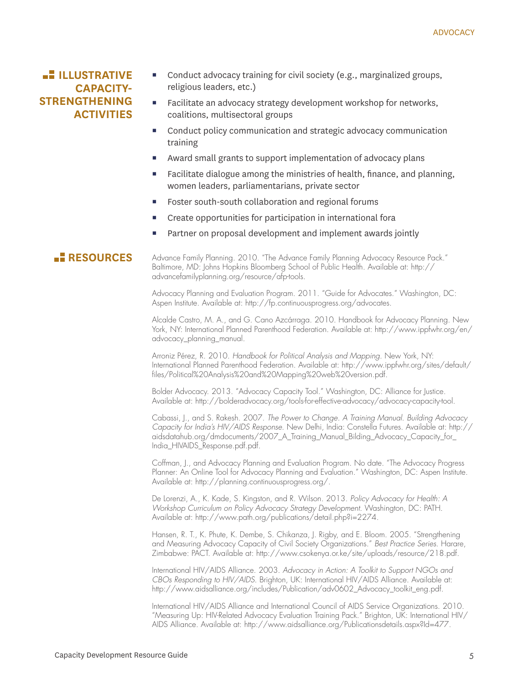## **LE ILLUSTRATIVE CAPACITY-STRENGTHENING ACTIVITIES**

- Conduct advocacy training for civil society (e.g., marginalized groups, religious leaders, etc.)
- Facilitate an advocacy strategy development workshop for networks, coalitions, multisectoral groups
- Conduct policy communication and strategic advocacy communication training
- Award small grants to support implementation of advocacy plans
- Facilitate dialogue among the ministries of health, finance, and planning, women leaders, parliamentarians, private sector
- Foster south-south collaboration and regional forums
- Create opportunities for participation in international fora
- Partner on proposal development and implement awards jointly

## **RESOURCES**

Advance Family Planning. 2010. "The Advance Family Planning Advocacy Resource Pack." Baltimore, MD: Johns Hopkins Bloomberg School of Public Health. Available at: http:// advancefamilyplanning.org/resource/afp-tools.

Advocacy Planning and Evaluation Program. 2011. "Guide for Advocates." Washington, DC: Aspen Institute. Available at: http://fp.continuousprogress.org/advocates.

Alcalde Castro, M. A., and G. Cano Azcárraga. 2010. Handbook for Advocacy Planning. New York, NY: International Planned Parenthood Federation. Available at: http://www.ippfwhr.org/en/ advocacy\_planning\_manual.

Arroniz Pérez, R. 2010. *Handbook for Political Analysis and Mapping*. New York, NY: International Planned Parenthood Federation. Available at: http://www.ippfwhr.org/sites/default/ files/Political%20Analysis%20and%20Mapping%20web%20version.pdf.

Bolder Advocacy. 2013. "Advocacy Capacity Tool." Washington, DC: Alliance for Justice. Available at: http://bolderadvocacy.org/tools-for-effective-advocacy/advocacy-capacity-tool.

Cabassi, J., and S. Rakesh. 2007. *The Power to Change. A Training Manual. Building Advocacy Capacity for India's HIV/AIDS Response*. New Delhi, India: Constella Futures. Available at: http:// aidsdatahub.org/dmdocuments/2007\_A\_Training\_Manual\_Bilding\_Advocacy\_Capacity\_for\_ India\_HIVAIDS\_Response.pdf.pdf.

Coffman, J., and Advocacy Planning and Evaluation Program. No date. "The Advocacy Progress Planner: An Online Tool for Advocacy Planning and Evaluation." Washington, DC: Aspen Institute. Available at: http://planning.continuousprogress.org/.

De Lorenzi, A., K. Kade, S. Kingston, and R. Wilson. 2013. *Policy Advocacy for Health: A Workshop Curriculum on Policy Advocacy Strategy Development*. Washington, DC: PATH. Available at: http://www.path.org/publications/detail.php?i=2274.

Hansen, R. T., K. Phute, K. Dembe, S. Chikanza, J. Rigby, and E. Bloom. 2005. "Strengthening and Measuring Advocacy Capacity of Civil Society Organizations." *Best Practice Series*. Harare, Zimbabwe: PACT. Available at: http://www.csokenya.or.ke/site/uploads/resource/218.pdf.

International HIV/AIDS Alliance. 2003. *Advocacy in Action: A Toolkit to Support NGOs and CBOs Responding to HIV/AIDS*. Brighton, UK: International HIV/AIDS Alliance. Available at: http://www.aidsalliance.org/includes/Publication/adv0602\_Advocacy\_toolkit\_eng.pdf.

International HIV/AIDS Alliance and International Council of AIDS Service Organizations. 2010. "Measuring Up: HIV-Related Advocacy Evaluation Training Pack." Brighton, UK: International HIV/ AIDS Alliance. Available at: http://www.aidsalliance.org/Publicationsdetails.aspx?Id=477.